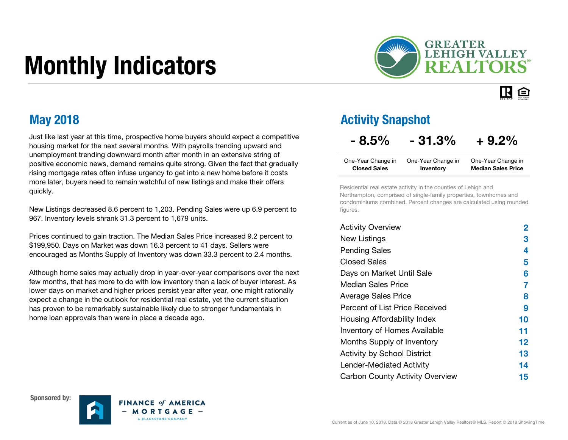# Monthly Indicators



IR. 臼

Just like last year at this time, prospective home buyers should expect a competitive housing market for the next several months. With payrolls trending upward and unemployment trending downward month after month in an extensive string of positive economic news, demand remains quite strong. Given the fact that gradually rising mortgage rates often infuse urgency to get into a new home before it costs more later, buyers need to remain watchful of new listings and make their offers quickly.

New Listings decreased 8.6 percent to 1,203. Pending Sales were up 6.9 percent to 967. Inventory levels shrank 31.3 percent to 1,679 units.

Prices continued to gain traction. The Median Sales Price increased 9.2 percent to \$199,950. Days on Market was down 16.3 percent to 41 days. Sellers were encouraged as Months Supply of Inventory was down 33.3 percent to 2.4 months.

Although home sales may actually drop in year-over-year comparisons over the next few months, that has more to do with low inventory than a lack of buyer interest. As lower days on market and higher prices persist year after year, one might rationally expect a change in the outlook for residential real estate, yet the current situation has proven to be remarkably sustainable likely due to stronger fundamentals in home loan approvals than were in place a decade ago.

#### May 2018 **May 2018** Activity Snapshot

#### $-8.5\% - 31.3\% + 9.2\%$

| One-Year Change in  | One-Year Change in | One-Year Change in        |
|---------------------|--------------------|---------------------------|
| <b>Closed Sales</b> | Inventory          | <b>Median Sales Price</b> |

Residential real estate activity in the counties of Lehigh and Northampton, comprised of single-family properties, townhomes and condominiums combined. Percent changes are calculated using rounded figures.

| <b>Activity Overview</b>               | 2       |
|----------------------------------------|---------|
| <b>New Listings</b>                    | 3       |
| <b>Pending Sales</b>                   | 4       |
| <b>Closed Sales</b>                    | 5       |
| Days on Market Until Sale              | 6       |
| Median Sales Price                     | 7       |
| <b>Average Sales Price</b>             | 8       |
| Percent of List Price Received         | 9       |
| Housing Affordability Index            | 10      |
| <b>Inventory of Homes Available</b>    | 11      |
| Months Supply of Inventory             | $12 \,$ |
| <b>Activity by School District</b>     | 13      |
| <b>Lender-Mediated Activity</b>        | 14      |
| <b>Carbon County Activity Overview</b> | 15      |





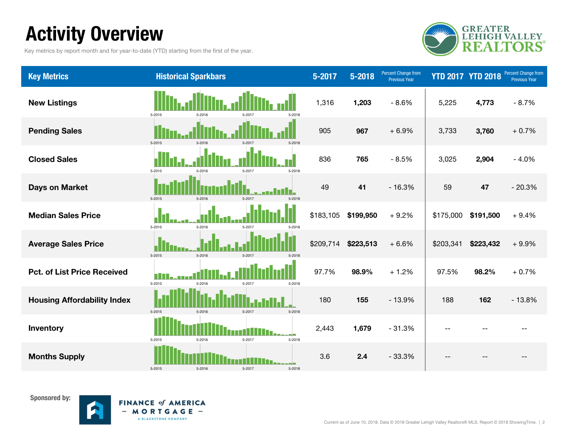# Activity Overview

Key metrics by report month and for year-to-date (YTD) starting from the first of the year.



| <b>Key Metrics</b>                 | <b>Historical Sparkbars</b>                  | 5-2017    | 5-2018    | <b>Percent Change from</b><br><b>Previous Year</b> |           | <b>YTD 2017 YTD 2018</b> | <b>Percent Change from</b><br><b>Previous Year</b> |
|------------------------------------|----------------------------------------------|-----------|-----------|----------------------------------------------------|-----------|--------------------------|----------------------------------------------------|
| <b>New Listings</b>                | 5-2015<br>5-2018<br>5-2016                   | 1,316     | 1,203     | $-8.6%$                                            | 5,225     | 4,773                    | $-8.7%$                                            |
| <b>Pending Sales</b>               | $5 - 2015$<br>5-2016<br>5-2017<br>$5 - 2018$ | 905       | 967       | $+6.9%$                                            | 3,733     | 3,760                    | $+0.7%$                                            |
| <b>Closed Sales</b>                | 5-2015<br>5-2016<br>5-2017<br>5-2018         | 836       | 765       | $-8.5%$                                            | 3,025     | 2,904                    | $-4.0%$                                            |
| <b>Days on Market</b>              | $5 - 2015$<br>5-2016<br>5-2017<br>5-2018     | 49        | 41        | $-16.3%$                                           | 59        | 47                       | $-20.3%$                                           |
| <b>Median Sales Price</b>          | 5-2015<br>5-2016<br>5.2011<br>5-2018         | \$183,105 | \$199,950 | $+9.2%$                                            | \$175,000 | \$191,500                | $+9.4%$                                            |
| <b>Average Sales Price</b>         | 5-2015<br>5-2016<br>5-2017<br>5-2018         | \$209,714 | \$223,513 | $+6.6%$                                            | \$203,341 | \$223,432                | $+9.9%$                                            |
| <b>Pct. of List Price Received</b> | П<br>5-2015<br>5-2016<br>5-2017<br>5-2018    | 97.7%     | 98.9%     | $+1.2%$                                            | 97.5%     | 98.2%                    | $+0.7%$                                            |
| <b>Housing Affordability Index</b> | 5-2015<br>5-2016<br>5-2017<br>5-2018         | 180       | 155       | $-13.9%$                                           | 188       | 162                      | $-13.8%$                                           |
| Inventory                          | 5-2015<br>5-2016<br>5-2017<br>5-2018         | 2,443     | 1,679     | $-31.3%$                                           | $-$       |                          |                                                    |
| <b>Months Supply</b>               | 5-2015<br>5-2016<br>5-2017<br>5-2018         | 3.6       | 2.4       | $-33.3%$                                           |           |                          |                                                    |

Sponsored by:



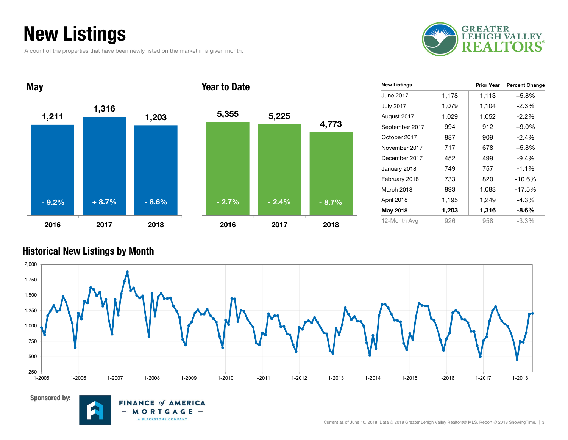### New Listings

A count of the properties that have been newly listed on the market in a given month.





| <b>New Listings</b> |       | <b>Prior Year</b> | <b>Percent Change</b> |
|---------------------|-------|-------------------|-----------------------|
| June 2017           | 1,178 | 1,113             | $+5.8%$               |
| <b>July 2017</b>    | 1,079 | 1,104             | -2.3%                 |
| August 2017         | 1,029 | 1,052             | $-2.2%$               |
| September 2017      | 994   | 912               | $+9.0%$               |
| October 2017        | 887   | 909               | $-2.4\%$              |
| November 2017       | 717   | 678               | $+5.8%$               |
| December 2017       | 452   | 499               | $-9.4%$               |
| January 2018        | 749   | 757               | $-1.1%$               |
| February 2018       | 733   | 820               | $-10.6%$              |
| March 2018          | 893   | 1,083             | $-17.5%$              |
| April 2018          | 1,195 | 1,249             | $-4.3%$               |
| May 2018            | 1,203 | 1,316             | $-8.6%$               |
| 12-Month Avg        | 926   | 958               | $-3.3\%$              |

#### Historical New Listings by Month



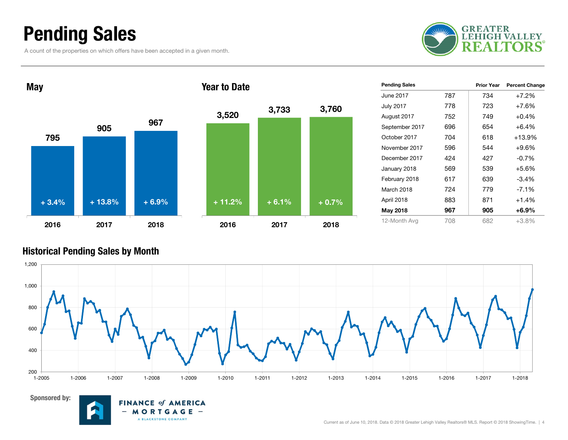### Pending Sales

A count of the properties on which offers have been accepted in a given month.





| <b>Pending Sales</b> |     | <b>Prior Year</b> | <b>Percent Change</b> |
|----------------------|-----|-------------------|-----------------------|
| June 2017.           | 787 | 734               | $+7.2%$               |
| <b>July 2017</b>     | 778 | 723               | $+7.6%$               |
| August 2017          | 752 | 749               | $+0.4%$               |
| September 2017       | 696 | 654               | $+6.4%$               |
| October 2017         | 704 | 618               | +13.9%                |
| November 2017        | 596 | 544               | $+9.6%$               |
| December 2017        | 424 | 427               | $-0.7%$               |
| January 2018         | 569 | 539               | $+5.6%$               |
| February 2018        | 617 | 639               | $-3.4%$               |
| March 2018           | 724 | 779               | $-7.1\%$              |
| April 2018           | 883 | 871               | $+1.4%$               |
| May 2018             | 967 | 905               | $+6.9\%$              |
| 12-Month Avg         | 708 | 682               | $+3.8%$               |

#### Historical Pending Sales by Month





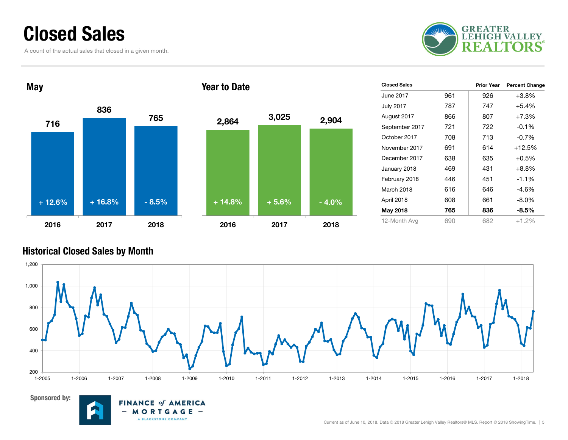### Closed Sales

A count of the actual sales that closed in a given month.





| <b>Closed Sales</b> |     | <b>Prior Year</b> | <b>Percent Change</b> |
|---------------------|-----|-------------------|-----------------------|
| June 2017           | 961 | 926               | $+3.8%$               |
| <b>July 2017</b>    | 787 | 747               | $+5.4%$               |
| August 2017         | 866 | 807               | $+7.3%$               |
| September 2017      | 721 | 722               | $-0.1%$               |
| October 2017        | 708 | 713               | $-0.7%$               |
| November 2017       | 691 | 614               | $+12.5%$              |
| December 2017       | 638 | 635               | $+0.5%$               |
| January 2018        | 469 | 431               | $+8.8%$               |
| February 2018       | 446 | 451               | $-1.1%$               |
| March 2018          | 616 | 646               | $-4.6%$               |
| April 2018          | 608 | 661               | $-8.0\%$              |
| May 2018            | 765 | 836               | $-8.5%$               |
| 12-Month Avg        | 690 | 682               | $+1.2%$               |

#### Historical Closed Sales by Month





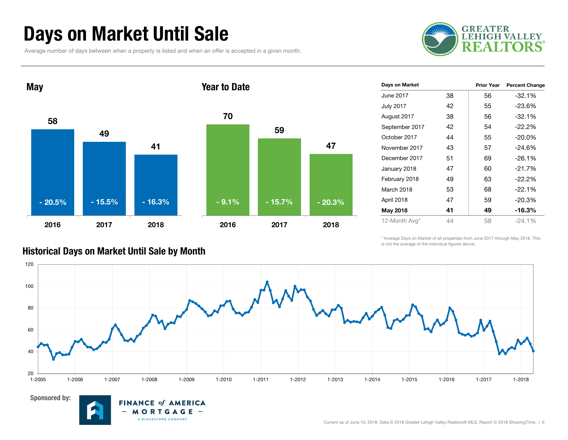### Days on Market Until Sale

Average number of days between when a property is listed and when an offer is accepted in a given month.

**FINANCE of AMERICA** MORTGAGE -A BLACKSTONE COMPANY





| Days on Market   |    | <b>Prior Year</b> | <b>Percent Change</b> |
|------------------|----|-------------------|-----------------------|
| June 2017        | 38 | 56                | $-32.1%$              |
| <b>July 2017</b> | 42 | 55                | $-23.6%$              |
| August 2017      | 38 | 56                | $-32.1%$              |
| September 2017   | 42 | 54                | $-22.2%$              |
| October 2017     | 44 | 55                | $-20.0\%$             |
| November 2017    | 43 | 57                | $-24.6%$              |
| December 2017    | 51 | 69                | $-26.1%$              |
| January 2018     | 47 | 60                | $-21.7%$              |
| February 2018    | 49 | 63                | $-22.2%$              |
| March 2018       | 53 | 68                | $-22.1%$              |
| April 2018       | 47 | 59                | $-20.3%$              |
| May 2018         | 41 | 49                | -16.3%                |
| 12-Month Avg*    | 44 | 58                | $-24.1%$              |

\* Average Days on Market of all properties from June 2017 through May 2018. This is not the average of the individual figures above.



#### Historical Days on Market Until Sale by Month

Sponsored by:

Current as of June 10, 2018. Data © 2018 Greater Lehigh Valley Realtors® MLS. Report © 2018 ShowingTime. | 6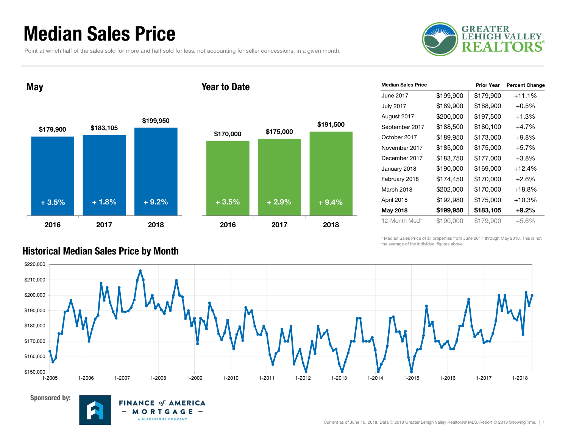### Median Sales Price

Point at which half of the sales sold for more and half sold for less, not accounting for seller concessions, in a given month.



May

Sponsored by:

#### Year to Date



**FINANCE of AMERICA** MORTGAGE -

A BLACKSTONE COMPANY

| <b>Median Sales Price</b> |           | <b>Prior Year</b> | <b>Percent Change</b> |
|---------------------------|-----------|-------------------|-----------------------|
| June 2017                 | \$199,900 | \$179,900         | $+11.1%$              |
| <b>July 2017</b>          | \$189,900 | \$188,900         | $+0.5%$               |
| August 2017               | \$200,000 | \$197,500         | $+1.3%$               |
| September 2017            | \$188,500 | \$180,100         | $+4.7%$               |
| October 2017              | \$189,950 | \$173,000         | $+9.8\%$              |
| November 2017             | \$185,000 | \$175,000         | $+5.7%$               |
| December 2017             | \$183,750 | \$177,000         | $+3.8%$               |
| January 2018              | \$190,000 | \$169,000         | $+12.4%$              |
| February 2018             | \$174,450 | \$170,000         | $+2.6%$               |
| March 2018                | \$202,000 | \$170,000         | +18.8%                |
| April 2018                | \$192,980 | \$175,000         | $+10.3%$              |
| May 2018                  | \$199,950 | \$183,105         | $+9.2\%$              |
| 12-Month Med*             | \$190,000 | \$179,900         | +5.6%                 |

\* Median Sales Price of all properties from June 2017 through May 2018. This is not the average of the individual figures above.



#### Historical Median Sales Price by Month

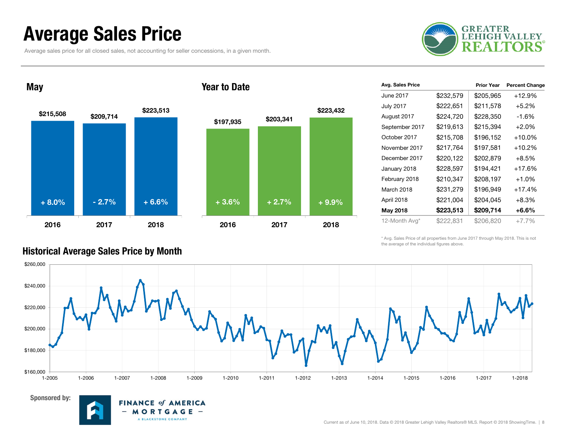### Average Sales Price

Average sales price for all closed sales, not accounting for seller concessions, in a given month.



### \$215,508 \$209,714 \$223,513 2016 2017 2018\$197,935 \$203,341 2016 2017 2018+ 8.0% $\%$  - 2.7% + 6.6% + 3.6% + 2.7% + 9.9%

**FINANCE of AMERICA**  $M$  O R T G A G E  $-$ 

A BLACKSTONE COMPANY

 $\qquad \qquad$ 

#### Prior Year Percent Change June 2017 $$232.579$   $$205.965$   $+12.9\%$ July 2017  $$222,651$   $$211,578$   $+5.2\%$ August 2017 \$224,720 \$228,350 -1.6% September 2017 \$219,613 \$215,394 +2.0% October 2017 $$215,708$   $$196,152$   $+10.0\%$ November 2017 $$217,764$   $$197,581$   $+10.2\%$ December 2017 $$220.122$   $$202.879$   $+8.5\%$ January 2018  $$228,597$  \$194,421 +17.6% February 2018  $$210,347$   $$208,197$   $+1.0\%$ March 2018 $$231,279$   $$196,949$   $+17.4\%$ April 2018 \$221,004 \$204,045 +8.3% May 2018  $$223.513$  \$209.714 +6.6% 12-Month Avg\* \$222,831 \$206,820 +7.7% Avg. Sales Price

\* Avg. Sales Price of all properties from June 2017 through May 2018. This is not the average of the individual figures above.



\$223,432

#### Historical Average Sales Price by Month

Sponsored by:

May

Year to Date

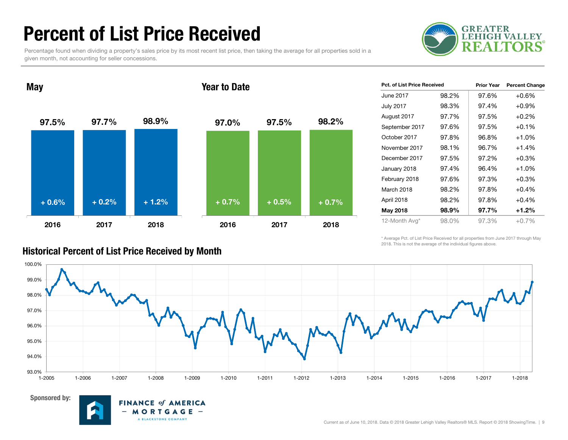### Percent of List Price Received

Percentage found when dividing a property's sales price by its most recent list price, then taking the average for all properties sold in a given month, not accounting for seller concessions.





| <b>Pct. of List Price Received</b> |       | <b>Prior Year</b> | <b>Percent Change</b> |
|------------------------------------|-------|-------------------|-----------------------|
| June 2017                          | 98.2% | 97.6%             | $+0.6%$               |
| <b>July 2017</b>                   | 98.3% | 97.4%             | $+0.9%$               |
| August 2017                        | 97.7% | 97.5%             | $+0.2%$               |
| September 2017                     | 97.6% | 97.5%             | $+0.1%$               |
| October 2017                       | 97.8% | 96.8%             | $+1.0%$               |
| November 2017                      | 98.1% | 96.7%             | $+1.4%$               |
| December 2017                      | 97.5% | 97.2%             | $+0.3%$               |
| January 2018                       | 97.4% | 96.4%             | $+1.0%$               |
| February 2018                      | 97.6% | 97.3%             | $+0.3%$               |
| March 2018                         | 98.2% | 97.8%             | $+0.4%$               |
| April 2018                         | 98.2% | 97.8%             | $+0.4%$               |
| May 2018                           | 98.9% | 97.7%             | $+1.2%$               |
| 12-Month Avg*                      | 98.0% | 97.3%             | $+0.7\%$              |

\* Average Pct. of List Price Received for all properties from June 2017 through May 2018. This is not the average of the individual figures above.





#### Historical Percent of List Price Received by Month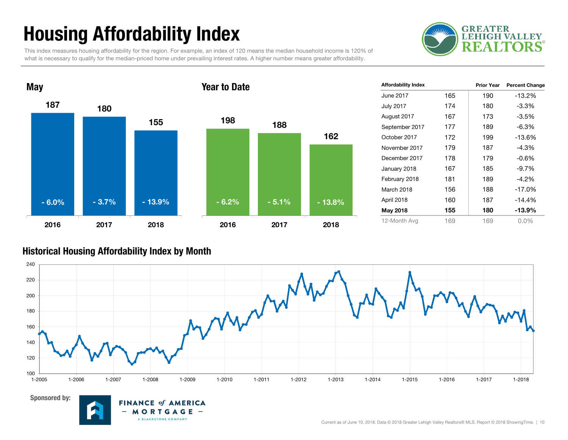# Housing Affordability Index

This index measures housing affordability for the region. For example, an index of 120 means the median household income is 120% of what is necessary to qualify for the median-priced home under prevailing interest rates. A higher number means greater affordability.





| <b>Affordability Index</b> |     | <b>Prior Year</b> | <b>Percent Change</b> |
|----------------------------|-----|-------------------|-----------------------|
| <b>June 2017</b>           | 165 | 190               | $-13.2%$              |
| <b>July 2017</b>           | 174 | 180               | $-3.3%$               |
| August 2017                | 167 | 173               | $-3.5%$               |
| September 2017             | 177 | 189               | $-6.3%$               |
| October 2017               | 172 | 199               | $-13.6%$              |
| November 2017              | 179 | 187               | $-4.3%$               |
| December 2017              | 178 | 179               | $-0.6%$               |
| January 2018               | 167 | 185               | $-9.7%$               |
| February 2018              | 181 | 189               | -4.2%                 |
| March 2018                 | 156 | 188               | $-17.0%$              |
| April 2018                 | 160 | 187               | $-14.4%$              |
| May 2018                   | 155 | 180               | $-13.9\%$             |
| 12-Month Avg               | 169 | 169               | $0.0\%$               |

#### Historical Housing Affordability Index by Mont h



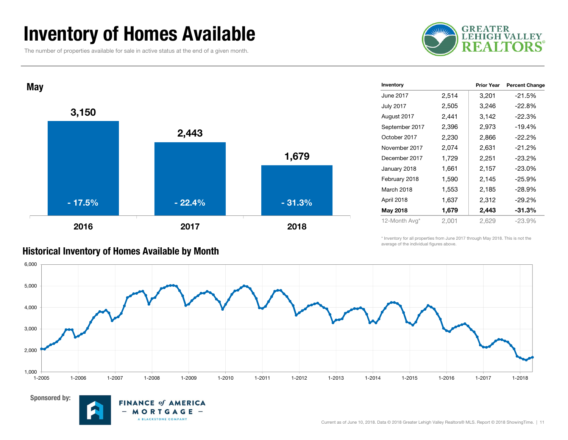### Inventory of Homes Available

The number of properties available for sale in active status at the end of a given month.





| Inventory        |       | <b>Prior Year</b> | <b>Percent Change</b> |
|------------------|-------|-------------------|-----------------------|
| June 2017        | 2,514 | 3,201             | $-21.5%$              |
| <b>July 2017</b> | 2,505 | 3,246             | $-22.8%$              |
| August 2017      | 2,441 | 3,142             | $-22.3%$              |
| September 2017   | 2,396 | 2,973             | $-19.4%$              |
| October 2017     | 2,230 | 2,866             | $-22.2%$              |
| November 2017    | 2,074 | 2,631             | $-21.2%$              |
| December 2017    | 1,729 | 2,251             | $-23.2%$              |
| January 2018     | 1,661 | 2,157             | $-23.0\%$             |
| February 2018    | 1,590 | 2,145             | -25.9%                |
| March 2018       | 1,553 | 2,185             | -28.9%                |
| April 2018       | 1,637 | 2,312             | $-29.2%$              |
| May 2018         | 1,679 | 2,443             | $-31.3%$              |
| 12-Month Avg*    | 2,001 | 2,629             | $-23.9%$              |

\* Inventory for all properties from June 2017 through May 2018. This is not the average of the individual figures above.



#### Sponsored by:

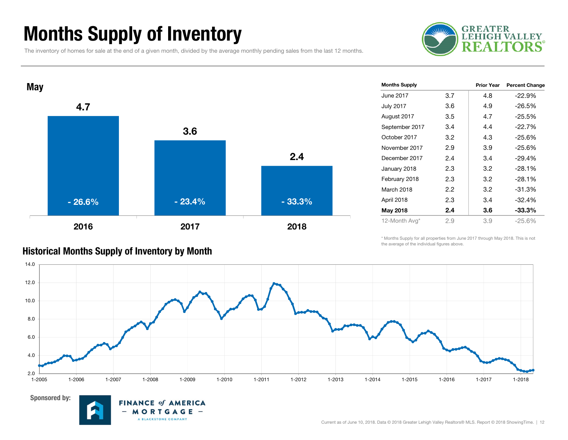### Months Supply of Inventory

The inventory of homes for sale at the end of a given month, divided by the average monthly pending sales from the last 12 months.





| <b>Months Supply</b> |         | <b>Prior Year</b> | <b>Percent Change</b> |
|----------------------|---------|-------------------|-----------------------|
| June 2017            | 3.7     | 4.8               | $-22.9%$              |
| <b>July 2017</b>     | 3.6     | 4.9               | $-26.5%$              |
| August 2017          | 3.5     | 4.7               | $-25.5%$              |
| September 2017       | 3.4     | 4.4               | $-22.7%$              |
| October 2017         | 3.2     | 4.3               | $-25.6%$              |
| November 2017        | 2.9     | 3.9               | $-25.6%$              |
| December 2017        | 2.4     | 3.4               | $-29.4%$              |
| January 2018         | 2.3     | 3.2               | $-28.1%$              |
| February 2018        | 2.3     | 3.2               | $-28.1%$              |
| March 2018           | $2.2\,$ | 3.2               | $-31.3%$              |
| April 2018           | 2.3     | 3.4               | $-32.4%$              |
| May 2018             | 2.4     | 3.6               | $-33.3%$              |
| 12-Month Avg*        | 2.9     | 3.9               | -25.6%                |
|                      |         |                   |                       |

#### \* Months Supply for all properties from June 2017 through May 2018. This is not the average of the individual figures above.





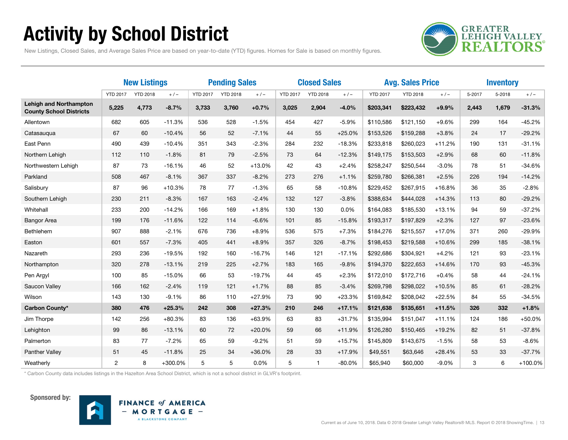# Activity by School District



New Listings, Closed Sales, and Average Sales Price are based on year-to-date (YTD) figures. Homes for Sale is based on monthly figures.

|                                                                 | <b>New Listings</b> |                 |           | <b>Pending Sales</b> |                 |          | <b>Closed Sales</b> |                 |          | <b>Avg. Sales Price</b> |                 |          | <b>Inventory</b> |        |           |
|-----------------------------------------------------------------|---------------------|-----------------|-----------|----------------------|-----------------|----------|---------------------|-----------------|----------|-------------------------|-----------------|----------|------------------|--------|-----------|
|                                                                 | <b>YTD 2017</b>     | <b>YTD 2018</b> | $+/-$     | <b>YTD 2017</b>      | <b>YTD 2018</b> | $+/-$    | <b>YTD 2017</b>     | <b>YTD 2018</b> | $+/-$    | <b>YTD 2017</b>         | <b>YTD 2018</b> | $+/-$    | 5-2017           | 5-2018 | $+/-$     |
| <b>Lehigh and Northampton</b><br><b>County School Districts</b> | 5,225               | 4,773           | $-8.7%$   | 3,733                | 3,760           | $+0.7%$  | 3,025               | 2,904           | $-4.0%$  | \$203,341               | \$223,432       | $+9.9%$  | 2,443            | 1,679  | $-31.3%$  |
| Allentown                                                       | 682                 | 605             | $-11.3%$  | 536                  | 528             | $-1.5%$  | 454                 | 427             | $-5.9%$  | \$110,586               | \$121,150       | $+9.6%$  | 299              | 164    | $-45.2%$  |
| Catasaugua                                                      | 67                  | 60              | $-10.4%$  | 56                   | 52              | $-7.1%$  | 44                  | 55              | $+25.0%$ | \$153,526               | \$159,288       | $+3.8%$  | 24               | 17     | $-29.2%$  |
| East Penn                                                       | 490                 | 439             | $-10.4%$  | 351                  | 343             | $-2.3%$  | 284                 | 232             | $-18.3%$ | \$233,818               | \$260,023       | $+11.2%$ | 190              | 131    | $-31.1%$  |
| Northern Lehigh                                                 | 112                 | 110             | $-1.8%$   | 81                   | 79              | $-2.5%$  | 73                  | 64              | $-12.3%$ | \$149,175               | \$153,503       | $+2.9%$  | 68               | 60     | $-11.8%$  |
| Northwestern Lehigh                                             | 87                  | 73              | $-16.1%$  | 46                   | 52              | $+13.0%$ | 42                  | 43              | $+2.4%$  | \$258,247               | \$250,544       | $-3.0%$  | 78               | 51     | $-34.6%$  |
| Parkland                                                        | 508                 | 467             | $-8.1%$   | 367                  | 337             | $-8.2%$  | 273                 | 276             | $+1.1%$  | \$259,780               | \$266,381       | $+2.5%$  | 226              | 194    | $-14.2%$  |
| Salisbury                                                       | 87                  | 96              | $+10.3%$  | 78                   | 77              | $-1.3%$  | 65                  | 58              | $-10.8%$ | \$229,452               | \$267,915       | $+16.8%$ | 36               | 35     | $-2.8%$   |
| Southern Lehigh                                                 | 230                 | 211             | $-8.3%$   | 167                  | 163             | $-2.4%$  | 132                 | 127             | $-3.8%$  | \$388,634               | \$444,028       | $+14.3%$ | 113              | 80     | $-29.2%$  |
| Whitehall                                                       | 233                 | 200             | $-14.2%$  | 166                  | 169             | $+1.8%$  | 130                 | 130             | 0.0%     | \$164,083               | \$185,530       | $+13.1%$ | 94               | 59     | $-37.2%$  |
| <b>Bangor Area</b>                                              | 199                 | 176             | $-11.6%$  | 122                  | 114             | $-6.6%$  | 101                 | 85              | $-15.8%$ | \$193,317               | \$197,829       | $+2.3%$  | 127              | 97     | $-23.6%$  |
| Bethlehem                                                       | 907                 | 888             | $-2.1%$   | 676                  | 736             | $+8.9%$  | 536                 | 575             | $+7.3%$  | \$184,276               | \$215,557       | $+17.0%$ | 371              | 260    | $-29.9%$  |
| Easton                                                          | 601                 | 557             | $-7.3%$   | 405                  | 441             | $+8.9%$  | 357                 | 326             | $-8.7%$  | \$198,453               | \$219,588       | $+10.6%$ | 299              | 185    | $-38.1%$  |
| Nazareth                                                        | 293                 | 236             | $-19.5%$  | 192                  | 160             | $-16.7%$ | 146                 | 121             | $-17.1%$ | \$292,686               | \$304,921       | $+4.2%$  | 121              | 93     | $-23.1%$  |
| Northampton                                                     | 320                 | 278             | $-13.1%$  | 219                  | 225             | $+2.7%$  | 183                 | 165             | $-9.8%$  | \$194,370               | \$222,653       | $+14.6%$ | 170              | 93     | $-45.3%$  |
| Pen Argyl                                                       | 100                 | 85              | $-15.0%$  | 66                   | 53              | $-19.7%$ | 44                  | 45              | $+2.3%$  | \$172,010               | \$172,716       | $+0.4%$  | 58               | 44     | $-24.1%$  |
| Saucon Valley                                                   | 166                 | 162             | $-2.4%$   | 119                  | 121             | $+1.7%$  | 88                  | 85              | $-3.4%$  | \$269,798               | \$298,022       | $+10.5%$ | 85               | 61     | $-28.2%$  |
| Wilson                                                          | 143                 | 130             | $-9.1%$   | 86                   | 110             | $+27.9%$ | 73                  | 90              | $+23.3%$ | \$169,842               | \$208,042       | $+22.5%$ | 84               | 55     | $-34.5%$  |
| Carbon County*                                                  | 380                 | 476             | $+25.3%$  | 242                  | 308             | $+27.3%$ | 210                 | 246             | $+17.1%$ | \$121,638               | \$135,651       | $+11.5%$ | 326              | 332    | $+1.8%$   |
| Jim Thorpe                                                      | 142                 | 256             | $+80.3%$  | 83                   | 136             | $+63.9%$ | 63                  | 83              | $+31.7%$ | \$135,994               | \$151,047       | $+11.1%$ | 124              | 186    | $+50.0%$  |
| Lehighton                                                       | 99                  | 86              | $-13.1%$  | 60                   | 72              | $+20.0%$ | 59                  | 66              | $+11.9%$ | \$126,280               | \$150,465       | $+19.2%$ | 82               | 51     | $-37.8%$  |
| Palmerton                                                       | 83                  | 77              | $-7.2%$   | 65                   | 59              | $-9.2%$  | 51                  | 59              | $+15.7%$ | \$145,809               | \$143,675       | $-1.5%$  | 58               | 53     | $-8.6%$   |
| Panther Valley                                                  | 51                  | 45              | $-11.8%$  | 25                   | 34              | $+36.0%$ | 28                  | 33              | $+17.9%$ | \$49,551                | \$63,646        | $+28.4%$ | 53               | 33     | $-37.7%$  |
| Weatherly                                                       | $\overline{2}$      | 8               | $+300.0%$ | 5                    | 5               | 0.0%     | 5                   | $\mathbf{1}$    | $-80.0%$ | \$65,940                | \$60,000        | $-9.0%$  | 3                | 6      | $+100.0%$ |

\* Carbon County data includes listings in the Hazelton Area School District, which is not a school district in GLVR's footprint.



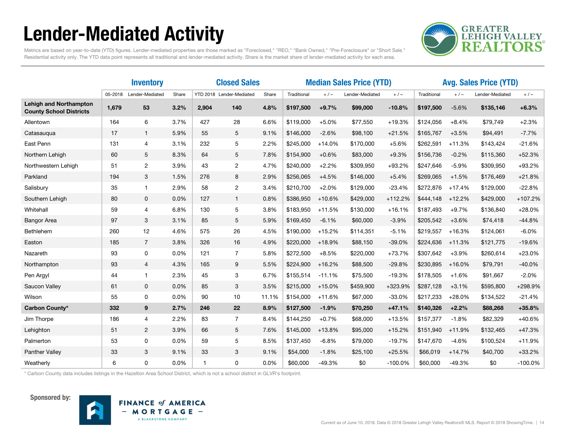# Lender-Mediated Activity



Metrics are based on year-to-date (YTD) figures. Lender-mediated properties are those marked as "Foreclosed," "REO," "Bank Owned," "Pre-Foreclosure" or "Short Sale." Residential activity only. The YTD data point represents all traditional and lender-mediated activity. Share is the market share of lender-mediated activity for each area.

|                                                                 |         | <b>Inventory</b> |       | <b>Closed Sales</b> |                          |       | <b>Median Sales Price (YTD)</b> |          |                 |           | <b>Avg. Sales Price (YTD)</b> |          |                 |           |
|-----------------------------------------------------------------|---------|------------------|-------|---------------------|--------------------------|-------|---------------------------------|----------|-----------------|-----------|-------------------------------|----------|-----------------|-----------|
|                                                                 | 05-2018 | Lender-Mediated  | Share |                     | YTD 2018 Lender-Mediated | Share | Traditional                     | $+/-$    | Lender-Mediated | $+/-$     | Traditional                   | $+/-$    | Lender-Mediated | $+/-$     |
| <b>Lehigh and Northampton</b><br><b>County School Districts</b> | 1,679   | 53               | 3.2%  | 2,904               | 140                      | 4.8%  | \$197,500                       | $+9.7%$  | \$99,000        | $-10.8%$  | \$197,500                     | $-5.6%$  | \$135,146       | $+6.3%$   |
| Allentown                                                       | 164     | 6                | 3.7%  | 427                 | 28                       | 6.6%  | \$119,000                       | $+5.0%$  | \$77,550        | $+19.3%$  | \$124,056                     | $+8.4%$  | \$79,749        | $+2.3%$   |
| Catasauqua                                                      | 17      | $\mathbf{1}$     | 5.9%  | 55                  | 5                        | 9.1%  | \$146,000                       | $-2.6%$  | \$98,100        | $+21.5%$  | \$165,767                     | $+3.5%$  | \$94,491        | $-7.7%$   |
| East Penn                                                       | 131     | $\overline{4}$   | 3.1%  | 232                 | 5                        | 2.2%  | \$245,000                       | $+14.0%$ | \$170,000       | $+5.6%$   | \$262,591                     | $+11.3%$ | \$143,424       | $-21.6%$  |
| Northern Lehigh                                                 | 60      | 5                | 8.3%  | 64                  | 5                        | 7.8%  | \$154,900                       | $+0.6%$  | \$83,000        | $+9.3%$   | \$156,736                     | $-0.2%$  | \$115,360       | $+52.3%$  |
| Northwestern Lehigh                                             | 51      | $\overline{2}$   | 3.9%  | 43                  | $\overline{2}$           | 4.7%  | \$240,000                       | $+2.2%$  | \$309,950       | $+93.2%$  | \$247,646                     | $-5.9%$  | \$309,950       | +93.2%    |
| Parkland                                                        | 194     | 3                | 1.5%  | 276                 | 8                        | 2.9%  | \$256,065                       | $+4.5%$  | \$146,000       | $+5.4%$   | \$269,065                     | $+1.5%$  | \$176,469       | $+21.8%$  |
| Salisbury                                                       | 35      | $\mathbf{1}$     | 2.9%  | 58                  | $\mathbf{2}^{\prime}$    | 3.4%  | \$210.700                       | $+2.0%$  | \$129,000       | $-23.4%$  | \$272,876                     | $+17.4%$ | \$129,000       | $-22.8%$  |
| Southern Lehigh                                                 | 80      | $\mathbf 0$      | 0.0%  | 127                 | $\mathbf{1}$             | 0.8%  | \$386,950                       | $+10.6%$ | \$429,000       | $+112.2%$ | \$444,148                     | $+12.2%$ | \$429,000       | $+107.2%$ |
| Whitehall                                                       | 59      | 4                | 6.8%  | 130                 | 5                        | 3.8%  | \$183,950                       | $+11.5%$ | \$130,000       | $+16.1%$  | \$187,493                     | $+9.7%$  | \$136,840       | $+28.0%$  |
| <b>Bangor Area</b>                                              | 97      | 3                | 3.1%  | 85                  | 5                        | 5.9%  | \$169,450                       | $-6.1%$  | \$60,000        | $-3.9%$   | \$205,542                     | $+3.6%$  | \$74,418        | $-44.8%$  |
| Bethlehem                                                       | 260     | 12               | 4.6%  | 575                 | 26                       | 4.5%  | \$190,000                       | $+15.2%$ | \$114,351       | $-5.1%$   | \$219,557                     | $+16.3%$ | \$124,061       | $-6.0%$   |
| Easton                                                          | 185     | $\overline{7}$   | 3.8%  | 326                 | 16                       | 4.9%  | \$220,000                       | $+18.9%$ | \$88,150        | $-39.0%$  | \$224,636                     | $+11.3%$ | \$121,775       | $-19.6%$  |
| Nazareth                                                        | 93      | 0                | 0.0%  | 121                 | $\overline{7}$           | 5.8%  | \$272,500                       | $+8.5%$  | \$220,000       | $+73.7%$  | \$307,642                     | $+3.9%$  | \$260,614       | $+23.0%$  |
| Northampton                                                     | 93      | $\overline{4}$   | 4.3%  | 165                 | 9                        | 5.5%  | \$224,900                       | $+16.2%$ | \$88,500        | $-29.8%$  | \$230,895                     | $+16.0%$ | \$79,791        | $-40.0%$  |
| Pen Argyl                                                       | 44      | $\mathbf{1}$     | 2.3%  | 45                  | 3                        | 6.7%  | \$155,514                       | $-11.1%$ | \$75,500        | $-19.3%$  | \$178,505                     | $+1.6%$  | \$91,667        | $-2.0%$   |
| Saucon Valley                                                   | 61      | $\mathbf{0}$     | 0.0%  | 85                  | 3                        | 3.5%  | \$215,000                       | $+15.0%$ | \$459,900       | +323.9%   | \$287,128                     | $+3.1%$  | \$595,800       | +298.9%   |
| Wilson                                                          | 55      | 0                | 0.0%  | 90                  | 10                       | 11.1% | \$154,000                       | $+11.6%$ | \$67,000        | $-33.0%$  | \$217,233                     | $+28.0%$ | \$134,522       | $-21.4%$  |
| <b>Carbon County*</b>                                           | 332     | 9                | 2.7%  | 246                 | 22                       | 8.9%  | \$127,500                       | $-1.9%$  | \$70,250        | $+47.1%$  | \$140,326                     | $+2.2%$  | \$88,268        | $+35.8%$  |
| Jim Thorpe                                                      | 186     | 4                | 2.2%  | 83                  | $\overline{7}$           | 8.4%  | \$144,250                       | $+0.7%$  | \$68,000        | $+13.5%$  | \$157,377                     | $-1.8%$  | \$82,329        | $+40.6%$  |
| Lehighton                                                       | 51      | $\overline{2}$   | 3.9%  | 66                  | 5                        | 7.6%  | \$145,000                       | $+13.8%$ | \$95,000        | $+15.2%$  | \$151,940                     | $+11.9%$ | \$132,465       | $+47.3%$  |
| Palmerton                                                       | 53      | 0                | 0.0%  | 59                  | 5                        | 8.5%  | \$137,450                       | $-6.8%$  | \$79,000        | $-19.7%$  | \$147,670                     | $-4.6%$  | \$100,524       | $+11.9%$  |
| <b>Panther Valley</b>                                           | 33      | 3                | 9.1%  | 33                  | 3                        | 9.1%  | \$54,000                        | $-1.8%$  | \$25,100        | $+25.5%$  | \$66,019                      | $+14.7%$ | \$40,700        | $+33.2%$  |
| Weatherly                                                       | 6       | 0                | 0.0%  | $\mathbf{1}$        | $\Omega$                 | 0.0%  | \$60,000                        | $-49.3%$ | \$0             | $-100.0%$ | \$60,000                      | $-49.3%$ | \$0             | $-100.0%$ |

\* Carbon County data includes listings in the Hazelton Area School District, which is not a school district in GLVR's footprint.